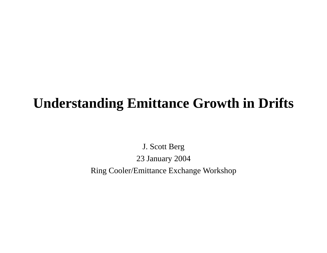# **Understanding Emittance Growth in Drifts**

J. Scott Berg

23 January 2004

Ring Cooler/Emittance Exchange Workshop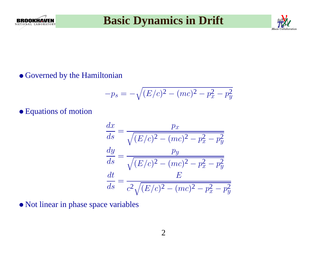

## **Basic Dynamics in Drift**



#### ● Governed by the Hamiltonian

$$
-p_s = -\sqrt{(E/c)^2 - (mc)^2 - p_x^2 - p_y^2}
$$

#### ● Equations of motion

$$
\frac{dx}{ds} = \frac{p_x}{\sqrt{(E/c)^2 - (mc)^2 - p_x^2 - p_y^2}}
$$

$$
\frac{dy}{ds} = \frac{p_y}{\sqrt{(E/c)^2 - (mc)^2 - p_x^2 - p_y^2}}
$$

$$
\frac{dt}{ds} = \frac{E}{c^2 \sqrt{(E/c)^2 - (mc)^2 - p_x^2 - p_y^2}}
$$

● Not linear in <sup>p</sup>hase space variables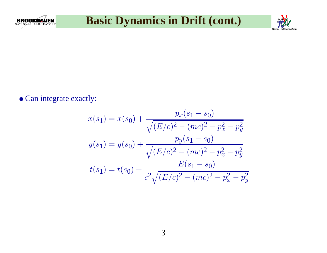



• Can integrate exactly:

**BROOKHAVEN** 

$$
x(s_1) = x(s_0) + \frac{p_x(s_1 - s_0)}{\sqrt{(E/c)^2 - (mc)^2 - p_x^2 - p_y^2}}
$$
  

$$
y(s_1) = y(s_0) + \frac{p_y(s_1 - s_0)}{\sqrt{(E/c)^2 - (mc)^2 - p_x^2 - p_y^2}}
$$
  

$$
t(s_1) = t(s_0) + \frac{E(s_1 - s_0)}{c^2 \sqrt{(E/c)^2 - (mc)^2 - p_x^2 - p_y^2}}
$$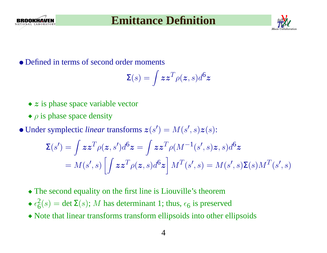

## **Emittance Definition**



● Defined in terms of second order moments

$$
\Sigma(s) = \int \bm{z} \bm{z}^T \rho(\bm{z},s) d^6 \bm{z}
$$

- $\bullet$  z is phase space variable vector
- $\bullet$   $\rho$  is phase space density
- Under symplectic *linear* transforms  $\boldsymbol{z}(s') = M(s', s) \boldsymbol{z}(s)$ :

$$
\Sigma(s') = \int z z^T \rho(z, s') d^6 z = \int z z^T \rho(M^{-1}(s', s) z, s) d^6 z
$$
  
=  $M(s', s) \left[ \int z z^T \rho(z, s) d^6 z \right] M^T(s', s) = M(s', s) \Sigma(s) M^T(s', s)$ 

- ◆ The second equality on the first line is Liouville's theorem
- $\epsilon_6^2(s) = \det \Sigma(s)$ ; *M* has determinant 1; thus,  $\epsilon_6$  is preserved
- ◆ Note that linear transforms transform ellipsoids into other ellipsoids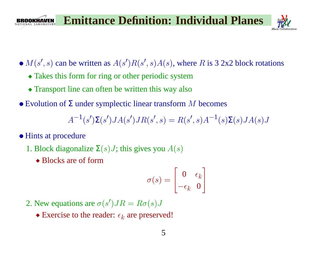

- $M(s', s)$  can be written as  $A(s')R(s', s)A(s)$ , where R is 3 2x2 block rotations
	- ◆ Takes this form for ring or other periodic system
	- ◆ Transport line can often be written this way also
- Evolution of  $\Sigma$  under symplectic linear transform M becomes

 $A^{-1}$  $\frac{1}{s}$  $^{\prime})\Sigma(s$  $^{\prime})JA(s$  $^\prime) JR(s$  $\prime, s) = R(s)$  $^{\prime},s)A^{-1}$  $\Gamma(s)\Sigma(s)JA(s)J$ 

- Hints at procedure
	- 1. Block diagonalize  $\Sigma(s)J;$  this gives you  $A(s)$ 
		- ◆ Blocks are of form

$$
\sigma(s) = \begin{bmatrix} 0 & \epsilon_k \\ -\epsilon_k & 0 \end{bmatrix}
$$

- 2. New equations are  $\sigma(s')JR = R\sigma(s)J$ 
	- $\bullet$  Exercise to the reader:  $\epsilon_k$  are preserved!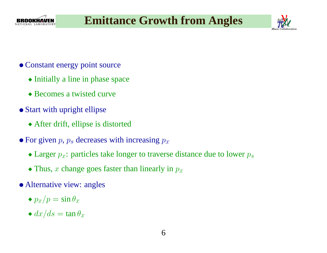



- Constant energy point source
	- ◆ Initially <sup>a</sup> line in <sup>p</sup>hase space
	- ◆ Becomes <sup>a</sup> twisted curve
- Start with upright ellipse
	- ◆ After drift, ellipse is distorted
- For given  $p$ ,  $p_s$  decreases with increasing  $p_x$ 
	- $\bullet$  Larger  $p_x$ : particles take longer to traverse distance due to lower  $p_s$
	- Thus, x change goes faster than linearly in  $p_x$
- Alternative view: angles
	- $\bullet p_x/p = \sin \theta_x$
	- $\bullet$   $dx/ds = \tan \theta_x$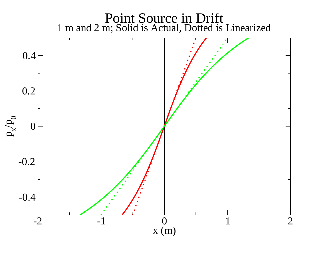#### Point Source in Drift 1 m and 2 m; Solid is Actual, Dotted is Linearized

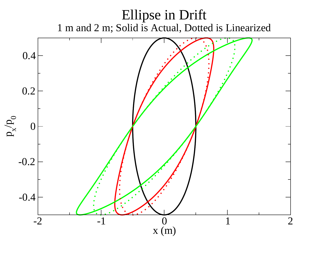# Ellipse in Drift 1 m and 2 m; Solid is Actual, Dotted is Linearized

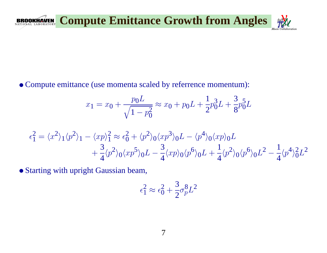

● Compute emittance (use momenta scaled by referrence momentum):

$$
x_1 = x_0 + \frac{p_0 L}{\sqrt{1 - p_0^2}} \approx x_0 + p_0 L + \frac{1}{2} p_0^3 L + \frac{3}{8} p_0^5 L
$$

$$
\epsilon_1^2 = \langle x^2 \rangle_1 \langle p^2 \rangle_1 - \langle xp \rangle_1^2 \approx \epsilon_0^2 + \langle p^2 \rangle_0 \langle xp^3 \rangle_0 L - \langle p^4 \rangle_0 \langle xp \rangle_0 L
$$
  
+  $\frac{3}{4} \langle p^2 \rangle_0 \langle xp^5 \rangle_0 L - \frac{3}{4} \langle xp \rangle_0 \langle p^6 \rangle_0 L + \frac{1}{4} \langle p^2 \rangle_0 \langle p^6 \rangle_0 L^2 - \frac{1}{4} \langle p^4 \rangle_0^2 L^2$ 

● Starting with upright Gaussian beam,

$$
\epsilon_1^2\approx\epsilon_0^2+\frac{3}{2}\sigma_p^8L^2
$$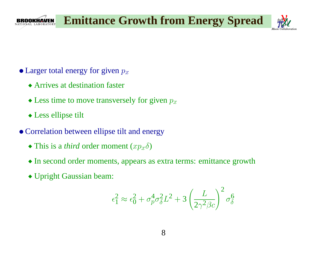

- $\bullet$  Larger total energy for given  $p_x$ 
	- ◆ Arrives at destination faster
	- $\bullet$  Less time to move transversely for given  $p_x$
	- ◆ Less ellipse tilt
- Correlation between ellipse tilt and energy
	- This is a *third* order moment  $(xp_x \delta)$
	- ◆ In second order moments, appears as extra terms: emittance growth
	- ◆ Upright Gaussian beam:

$$
\epsilon_1^2 \approx \epsilon_0^2 + \sigma_p^4 \sigma_\delta^2 L^2 + 3 \left(\frac{L}{2\gamma^2 \beta c}\right)^2 \sigma_\delta^6
$$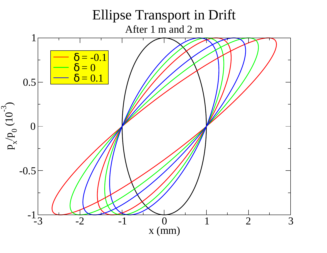